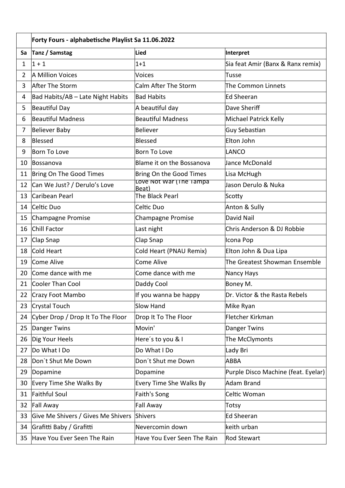|                | Forty Fours - alphabetische Playlist Sa 11.06.2022 |                                  |                                     |  |
|----------------|----------------------------------------------------|----------------------------------|-------------------------------------|--|
| Sa             | Tanz / Samstag                                     | Lied                             | Interpret                           |  |
| 1              | $1 + 1$                                            | $1 + 1$                          | Sia feat Amir (Banx & Ranx remix)   |  |
| $\overline{2}$ | A Million Voices                                   | <b>Voices</b>                    | Tusse                               |  |
| 3              | After The Storm                                    | Calm After The Storm             | The Common Linnets                  |  |
| 4              | Bad Habits/AB - Late Night Habits                  | <b>Bad Habits</b>                | <b>Ed Sheeran</b>                   |  |
| 5              | Beautiful Day                                      | A beautiful day                  | Dave Sheriff                        |  |
| 6              | <b>Beautiful Madness</b>                           | <b>Beautiful Madness</b>         | Michael Patrick Kelly               |  |
| 7              | Believer Baby                                      | <b>Believer</b>                  | Guy Sebastian                       |  |
| 8              | Blessed                                            | <b>Blessed</b>                   | Elton John                          |  |
| 9              | Born To Love                                       | Born To Love                     | LANCO                               |  |
| 10             | Bossanova                                          | Blame it on the Bossanova        | Jance McDonald                      |  |
| 11             | Bring On The Good Times                            | Bring On the Good Times          | Lisa McHugh                         |  |
| 12             | Can We Just? / Derulo's Love                       | Love Not War (The Tampa<br>Beat) | Jason Derulo & Nuka                 |  |
| 13             | Caribean Pearl                                     | The Black Pearl                  | Scotty                              |  |
| 14             | Celtic Duo                                         | Celtic Duo                       | Anton & Sully                       |  |
| 15             | Champagne Promise                                  | <b>Champagne Promise</b>         | David Nail                          |  |
| 16             | Chill Factor                                       | Last night                       | Chris Anderson & DJ Robbie          |  |
| 17             | Clap Snap                                          | Clap Snap                        | Icona Pop                           |  |
| 18             | Cold Heart                                         | Cold Heart (PNAU Remix)          | Elton John & Dua Lipa               |  |
| 19             | Come Alive                                         | Come Alive                       | The Greatest Showman Ensemble       |  |
| 20             | Come dance with me                                 | Come dance with me               | Nancy Hays                          |  |
| 21             | Cooler Than Cool                                   | Daddy Cool                       | Boney M.                            |  |
| 22             | Crazy Foot Mambo                                   | If you wanna be happy            | Dr. Victor & the Rasta Rebels       |  |
| 23             | Crystal Touch                                      | <b>Slow Hand</b>                 | Mike Ryan                           |  |
| 24             | Cyber Drop / Drop It To The Floor                  | Drop It To The Floor             | Fletcher Kirkman                    |  |
| 25             | Danger Twins                                       | Movin'                           | <b>Danger Twins</b>                 |  |
| 26             | Dig Your Heels                                     | Here's to you & I                | The McClymonts                      |  |
| 27             | Do What I Do                                       | Do What I Do                     | Lady Bri                            |  |
| 28             | Don't Shut Me Down                                 | Don't Shut me Down               | <b>ABBA</b>                         |  |
| 29             | Dopamine                                           | Dopamine                         | Purple Disco Machine (feat. Eyelar) |  |
| 30             | Every Time She Walks By                            | Every Time She Walks By          | <b>Adam Brand</b>                   |  |
| 31             | <b>Faithful Soul</b>                               | Faith's Song                     | Celtic Woman                        |  |
| 32             | Fall Away                                          | Fall Away                        | Totsy                               |  |
| 33             | Give Me Shivers / Gives Me Shivers                 | Shivers                          | <b>Ed Sheeran</b>                   |  |
| 34             | Grafitti Baby / Grafitti                           | Nevercomin down                  | keith urban                         |  |
| 35             | Have You Ever Seen The Rain                        | Have You Ever Seen The Rain      | <b>Rod Stewart</b>                  |  |